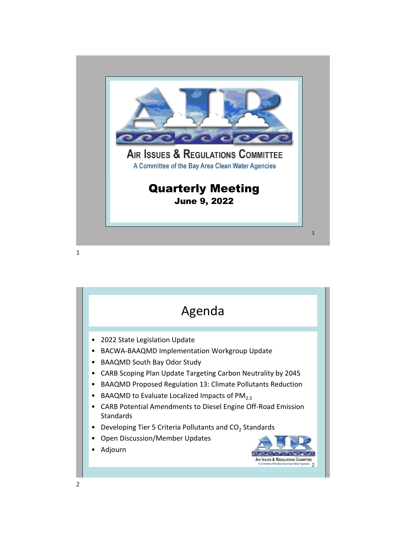

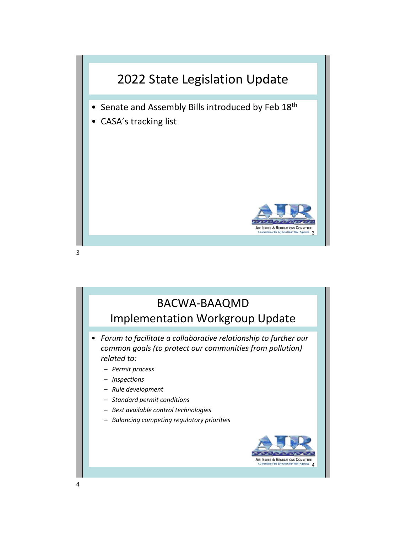

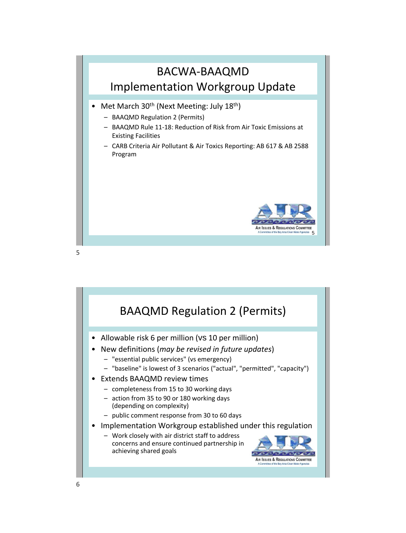

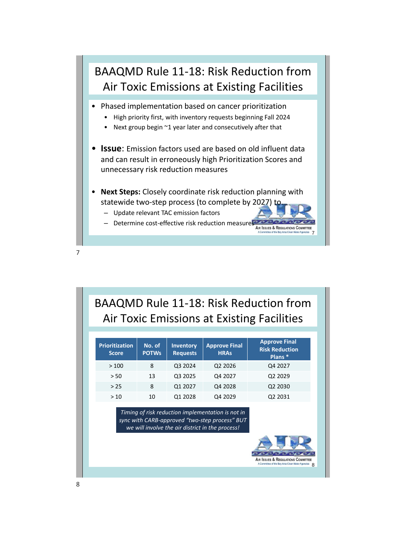

BAAQMD Rule 11-18: Risk Reduction from Air Toxic Emissions at Existing Facilities

| <b>Prioritization</b><br><b>Score</b> | No. of<br><b>POTWs</b> | <b>Inventory</b><br><b>Requests</b> | <b>Approve Final</b><br><b>HRAs</b> | <b>Approve Final</b><br><b>Risk Reduction</b><br>Plans <sup>*</sup> |
|---------------------------------------|------------------------|-------------------------------------|-------------------------------------|---------------------------------------------------------------------|
| >100                                  | 8                      | Q3 2024                             | Q <sub>2</sub> 2026                 | Q4 2027                                                             |
| > 50                                  | 13                     | Q3 2025                             | Q4 2027                             | Q2 2029                                                             |
| > 25                                  | 8                      | Q1 2027                             | Q4 2028                             | Q <sub>2</sub> 20 <sub>30</sub>                                     |
| >10                                   | 10                     | Q1 2028                             | Q4 2029                             | Q <sub>2</sub> 2031                                                 |

*Timing of risk reduction implementation is not in sync with CARB-approved "two-step process" BUT we will involve the air district in the process!*

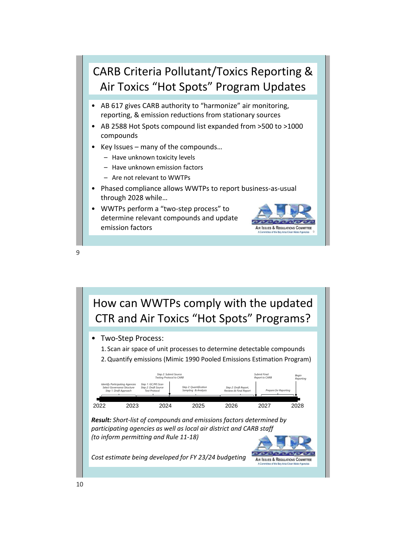

How can WWTPs comply with the updated CTR and Air Toxics "Hot Spots" Programs? • Two-Step Process: 1. Scan air space of unit processes to determine detectable compounds 2.Quantify emissions (Mimic 1990 Pooled Emissions Estimation Program) *Step 2: Submit Source Testing Protocol to CARB Submit Final Report to CARB Begin Reporting Identify Participating Agencies Step 1: GC/MS Scan Select Governance Structure Step 1: Draft Approach Step 2: Draft Source Step 2: Quantification Sampling & Analysis Step 2: Draft Report, Reviews & Final Report Test Protocol Prepare for Reporting* 2022 2023 2024 2025 2026 2027 2028 *Result: Short-list of compounds and emissions factors determined by participating agencies as well as local air district and CARB staff (to inform permitting and Rule 11-18)*  $\bullet \bullet \bullet \bullet \bullet$ *Cost estimate being developed for FY 23/24 budgeting* AIR ISSUES & REGULATIONS COMMITTEE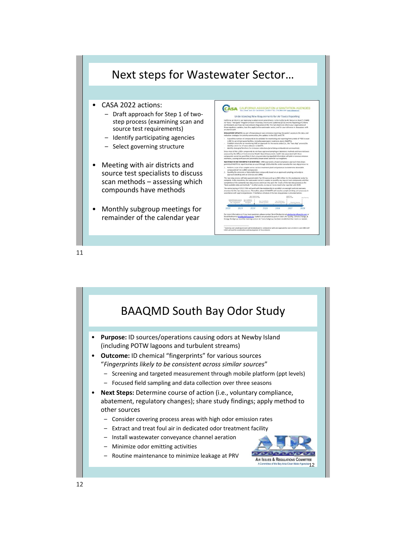

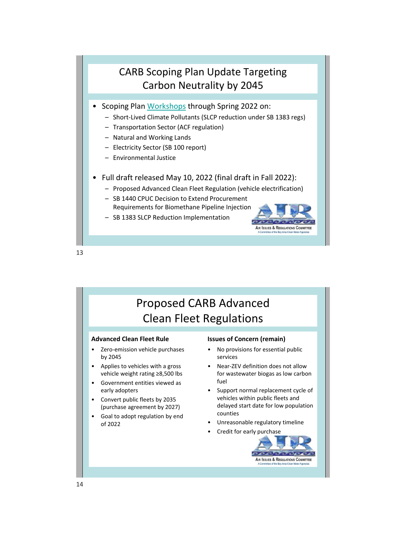## CARB Scoping Plan Update Targeting Carbon Neutrality by 2045

- Scoping Plan [Workshops](https://ww2.arb.ca.gov/our-work/programs/ab-32-climate-change-scoping-plan/scoping-plan-meetings-workshops?utm_medium=email&utm_source=govdelivery) through Spring 2022 on:
	- Short-Lived Climate Pollutants (SLCP reduction under SB 1383 regs)
	- Transportation Sector (ACF regulation)
	- Natural and Working Lands
	- Electricity Sector (SB 100 report)
	- Environmental Justice
- Full draft released May 10, 2022 (final draft in Fall 2022):
	- Proposed Advanced Clean Fleet Regulation (vehicle electrification)
	- SB 1440 CPUC Decision to Extend Procurement Requirements for Biomethane Pipeline Injection
	- SB 1383 SLCP Reduction Implementation



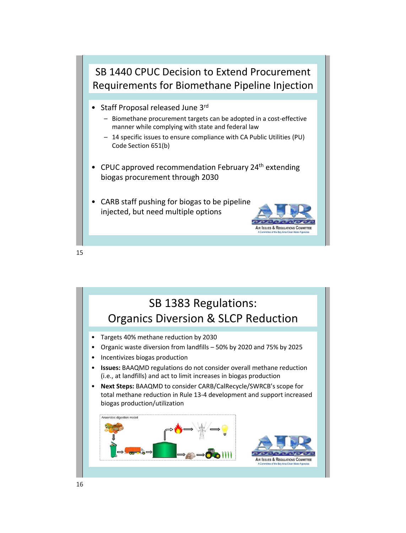

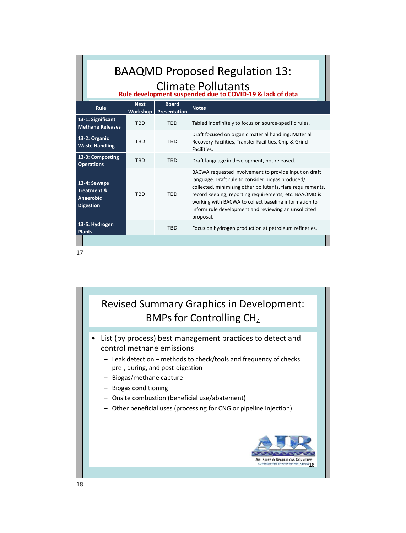|    | <b>BAAQMD Proposed Regulation 13:</b><br>Climate Pollutants<br>Rule development suspended due to COVID-19 & lack of data |                                       |                                         |                                                                                                                                                                                                                                                                                                                                                      |  |  |  |
|----|--------------------------------------------------------------------------------------------------------------------------|---------------------------------------|-----------------------------------------|------------------------------------------------------------------------------------------------------------------------------------------------------------------------------------------------------------------------------------------------------------------------------------------------------------------------------------------------------|--|--|--|
|    | Rule                                                                                                                     | <b>Next</b>                           | <b>Board</b><br>Workshop   Presentation | <b>Notes</b>                                                                                                                                                                                                                                                                                                                                         |  |  |  |
|    | 13-1: Significant<br><b>Methane Releases</b>                                                                             | <b>TBD</b>                            | <b>TBD</b>                              | Tabled indefinitely to focus on source-specific rules.                                                                                                                                                                                                                                                                                               |  |  |  |
|    | 13-2: Organic<br><b>Waste Handling</b>                                                                                   | <b>TBD</b>                            | <b>TBD</b>                              | Draft focused on organic material handling: Material<br>Recovery Facilities, Transfer Facilities, Chip & Grind<br>Facilities.                                                                                                                                                                                                                        |  |  |  |
|    | 13-3: Composting<br><b>Operations</b>                                                                                    | <b>TBD</b>                            | <b>TBD</b>                              | Draft language in development, not released.                                                                                                                                                                                                                                                                                                         |  |  |  |
|    | 13-4: Sewage<br><b>Treatment &amp;</b><br><b>Anaerobic</b><br><b>Digestion</b>                                           | <b>TBD</b><br><b>TBD</b><br>proposal. |                                         | BACWA requested involvement to provide input on draft<br>language. Draft rule to consider biogas produced/<br>collected, minimizing other pollutants, flare requirements,<br>record keeping, reporting requirements, etc. BAAQMD is<br>working with BACWA to collect baseline information to<br>inform rule development and reviewing an unsolicited |  |  |  |
|    | 13-5: Hydrogen<br><b>Plants</b>                                                                                          |                                       | <b>TBD</b>                              | Focus on hydrogen production at petroleum refineries.                                                                                                                                                                                                                                                                                                |  |  |  |
|    |                                                                                                                          |                                       |                                         |                                                                                                                                                                                                                                                                                                                                                      |  |  |  |
| 17 |                                                                                                                          |                                       |                                         |                                                                                                                                                                                                                                                                                                                                                      |  |  |  |

## Revised Summary Graphics in Development: BMPs for Controlling CH<sub>4</sub>

- List (by process) best management practices to detect and control methane emissions
	- Leak detection methods to check/tools and frequency of checks pre-, during, and post-digestion
	- Biogas/methane capture
	- Biogas conditioning
	- Onsite combustion (beneficial use/abatement)
	- Other beneficial uses (processing for CNG or pipeline injection)

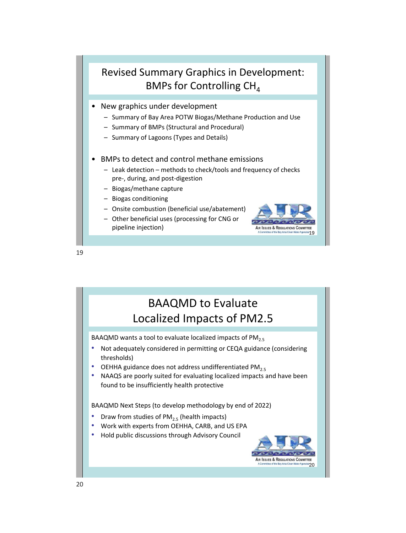## Revised Summary Graphics in Development: BMPs for Controlling  $CH<sub>4</sub>$

- New graphics under development
	- Summary of Bay Area POTW Biogas/Methane Production and Use
	- Summary of BMPs (Structural and Procedural)
	- Summary of Lagoons (Types and Details)
- BMPs to detect and control methane emissions
	- Leak detection methods to check/tools and frequency of checks pre-, during, and post-digestion
	- Biogas/methane capture
	- Biogas conditioning
	- Onsite combustion (beneficial use/abatement)
	- Other beneficial uses (processing for CNG or pipeline injection)



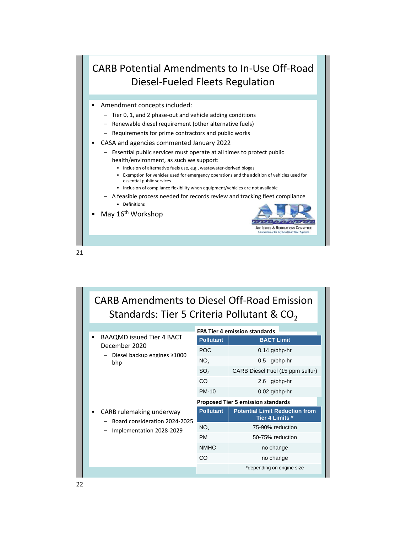## CARB Potential Amendments to In-Use Off-Road Diesel-Fueled Fleets Regulation

- Amendment concepts included:
	- Tier 0, 1, and 2 phase-out and vehicle adding conditions
	- Renewable diesel requirement (other alternative fuels)
	- Requirements for prime contractors and public works
- CASA and agencies commented January 2022
	- Essential public services must operate at all times to protect public health/environment, as such we support:
		- Inclusion of alternative fuels use, e.g., wastewater-derived biogas
		- Exemption for vehicles used for emergency operations and the addition of vehicles used for essential public services
		- Inclusion of compliance flexibility when equipment/vehicles are not available
	- A feasible process needed for records review and tracking fleet compliance
		- Definitions
- May 16<sup>th</sup> Workshop



| <b>CARB Amendments to Diesel Off-Road Emission</b><br>Standards: Tier 5 Criteria Pollutant & $CO2$ |                                           |                                                          |  |  |  |  |  |
|----------------------------------------------------------------------------------------------------|-------------------------------------------|----------------------------------------------------------|--|--|--|--|--|
| BAAQMD issued Tier 4 BACT                                                                          | <b>EPA Tier 4 emission standards</b>      |                                                          |  |  |  |  |  |
| December 2020                                                                                      | <b>Pollutant</b>                          | <b>BACT Limit</b>                                        |  |  |  |  |  |
| Diesel backup engines ≥1000                                                                        | <b>POC</b>                                | $0.14$ g/bhp-hr                                          |  |  |  |  |  |
| bhp                                                                                                | $NO_{\rm v}$                              | $0.5$ g/bhp-hr                                           |  |  |  |  |  |
|                                                                                                    | SO <sub>2</sub>                           | CARB Diesel Fuel (15 ppm sulfur)                         |  |  |  |  |  |
|                                                                                                    | CO                                        | 2.6 g/bhp-hr                                             |  |  |  |  |  |
|                                                                                                    | <b>PM-10</b>                              | $0.02$ g/bhp-hr                                          |  |  |  |  |  |
|                                                                                                    | <b>Proposed Tier 5 emission standards</b> |                                                          |  |  |  |  |  |
| CARB rulemaking underway<br>Board consideration 2024-2025                                          | <b>Pollutant</b>                          | <b>Potential Limit Reduction from</b><br>Tier 4 Limits * |  |  |  |  |  |
| Implementation 2028-2029                                                                           | $NO_{x}$                                  | 75-90% reduction                                         |  |  |  |  |  |
|                                                                                                    | <b>PM</b>                                 | 50-75% reduction                                         |  |  |  |  |  |
|                                                                                                    | <b>NMHC</b>                               | no change                                                |  |  |  |  |  |
|                                                                                                    | CO                                        | no change                                                |  |  |  |  |  |
|                                                                                                    |                                           | *depending on engine size                                |  |  |  |  |  |